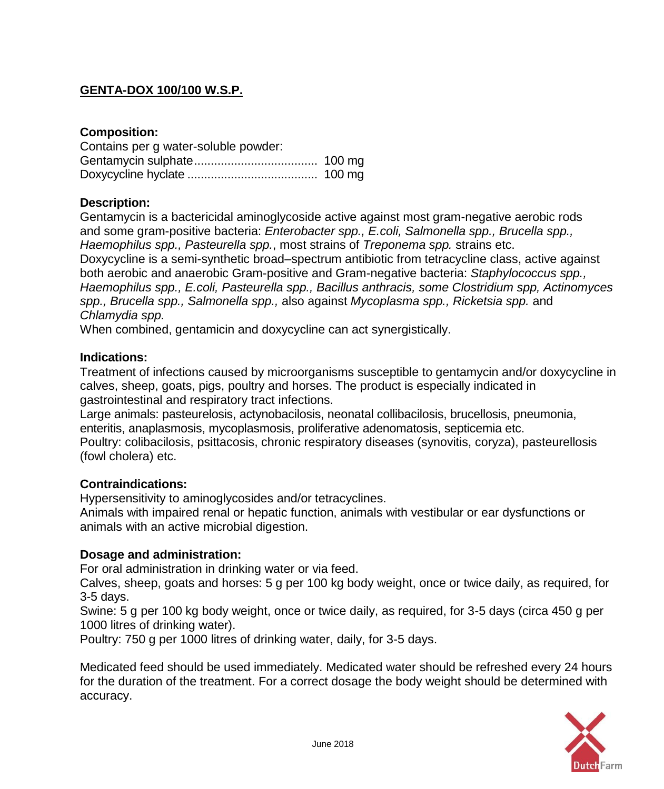# **GENTA-DOX 100/100 W.S.P.**

# **Composition:**

| Contains per g water-soluble powder: |  |
|--------------------------------------|--|
|                                      |  |
|                                      |  |

# **Description:**

Gentamycin is a bactericidal aminoglycoside active against most gram-negative aerobic rods and some gram-positive bacteria: *Enterobacter spp., E.coli, Salmonella spp., Brucella spp., Haemophilus spp., Pasteurella spp.*, most strains of *Treponema spp.* strains etc. Doxycycline is a semi-synthetic broad–spectrum antibiotic from tetracycline class, active against both aerobic and anaerobic Gram-positive and Gram-negative bacteria: *Staphylococcus spp., Haemophilus spp., E.coli, Pasteurella spp., Bacillus anthracis, some Clostridium spp, Actinomyces spp., Brucella spp., Salmonella spp.,* also against *Mycoplasma spp., Ricketsia spp.* and *Chlamydia spp.*

When combined, gentamicin and doxycycline can act synergistically.

#### **Indications:**

Treatment of infections caused by microorganisms susceptible to gentamycin and/or doxycycline in calves, sheep, goats, pigs, poultry and horses. The product is especially indicated in gastrointestinal and respiratory tract infections.

Large animals: pasteurelosis, actynobacilosis, neonatal collibacilosis, brucellosis, pneumonia, enteritis, anaplasmosis, mycoplasmosis, proliferative adenomatosis, septicemia etc. Poultry: colibacilosis, psittacosis, chronic respiratory diseases (synovitis, coryza), pasteurellosis (fowl cholera) etc.

# **Contraindications:**

Hypersensitivity to aminoglycosides and/or tetracyclines.

Animals with impaired renal or hepatic function, animals with vestibular or ear dysfunctions or animals with an active microbial digestion.

# **Dosage and administration:**

For oral administration in drinking water or via feed.

Calves, sheep, goats and horses: 5 g per 100 kg body weight, once or twice daily, as required, for 3-5 days.

Swine: 5 g per 100 kg body weight, once or twice daily, as required, for 3-5 days (circa 450 g per 1000 litres of drinking water).

Poultry: 750 g per 1000 litres of drinking water, daily, for 3-5 days.

Medicated feed should be used immediately. Medicated water should be refreshed every 24 hours for the duration of the treatment. For a correct dosage the body weight should be determined with accuracy.